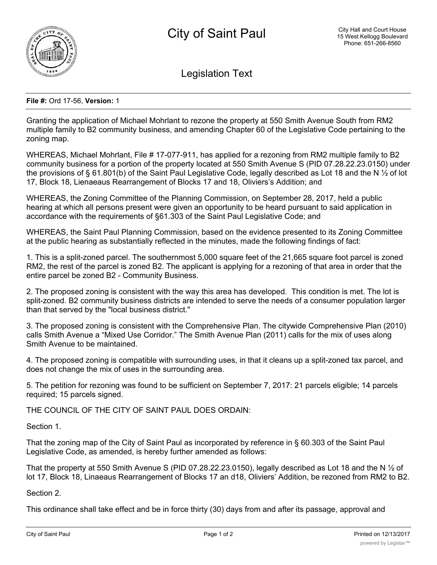

Legislation Text

## **File #:** Ord 17-56, **Version:** 1

Granting the application of Michael Mohrlant to rezone the property at 550 Smith Avenue South from RM2 multiple family to B2 community business, and amending Chapter 60 of the Legislative Code pertaining to the zoning map.

WHEREAS, Michael Mohrlant, File # 17-077-911, has applied for a rezoning from RM2 multiple family to B2 community business for a portion of the property located at 550 Smith Avenue S (PID 07.28.22.23.0150) under the provisions of § 61.801(b) of the Saint Paul Legislative Code, legally described as Lot 18 and the N ½ of lot 17, Block 18, Lienaeaus Rearrangement of Blocks 17 and 18, Oliviers's Addition; and

WHEREAS, the Zoning Committee of the Planning Commission, on September 28, 2017, held a public hearing at which all persons present were given an opportunity to be heard pursuant to said application in accordance with the requirements of §61.303 of the Saint Paul Legislative Code; and

WHEREAS, the Saint Paul Planning Commission, based on the evidence presented to its Zoning Committee at the public hearing as substantially reflected in the minutes, made the following findings of fact:

1. This is a split-zoned parcel. The southernmost 5,000 square feet of the 21,665 square foot parcel is zoned RM2, the rest of the parcel is zoned B2. The applicant is applying for a rezoning of that area in order that the entire parcel be zoned B2 - Community Business.

2. The proposed zoning is consistent with the way this area has developed. This condition is met. The lot is split-zoned. B2 community business districts are intended to serve the needs of a consumer population larger than that served by the "local business district."

3. The proposed zoning is consistent with the Comprehensive Plan. The citywide Comprehensive Plan (2010) calls Smith Avenue a "Mixed Use Corridor." The Smith Avenue Plan (2011) calls for the mix of uses along Smith Avenue to be maintained.

4. The proposed zoning is compatible with surrounding uses, in that it cleans up a split-zoned tax parcel, and does not change the mix of uses in the surrounding area.

5. The petition for rezoning was found to be sufficient on September 7, 2017: 21 parcels eligible; 14 parcels required; 15 parcels signed.

THE COUNCIL OF THE CITY OF SAINT PAUL DOES ORDAIN:

Section 1.

That the zoning map of the City of Saint Paul as incorporated by reference in § 60.303 of the Saint Paul Legislative Code, as amended, is hereby further amended as follows:

That the property at 550 Smith Avenue S (PID 07.28.22.23.0150), legally described as Lot 18 and the N  $\frac{1}{2}$  of lot 17, Block 18, Linaeaus Rearrangement of Blocks 17 an d18, Oliviers' Addition, be rezoned from RM2 to B2.

Section 2.

This ordinance shall take effect and be in force thirty (30) days from and after its passage, approval and